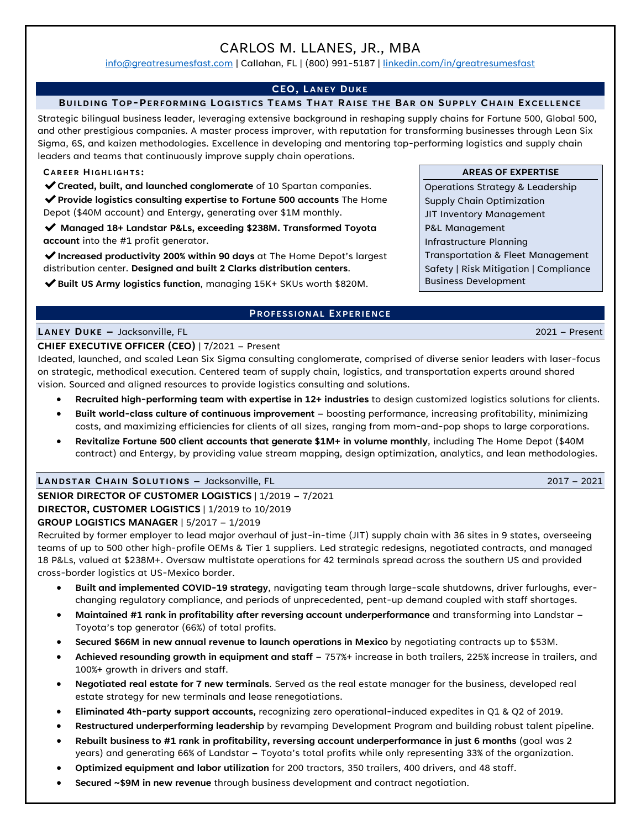# CARLOS M. LLANES, JR., MBA

[info@greatresumesfast.com](mailto:info@greatresumesfast.com) | Callahan, FL | (800) 991-5187 | [linkedin.com/in/greatresumesfast](http://www.linkedin.com/in/jessicaholbrook)

# **CEO, LANEY DUKE**

# **BUILDING TOP-PERFORMING LOGISTICS TEAMS THAT RAISE THE BAR ON SUPPLY CHAIN EXCELLENCE**

Strategic bilingual business leader, leveraging extensive background in reshaping supply chains for Fortune 500, Global 500, and other prestigious companies. A master process improver, with reputation for transforming businesses through Lean Six Sigma, 6S, and kaizen methodologies. Excellence in developing and mentoring top-performing logistics and supply chain leaders and teams that continuously improve supply chain operations.

#### **CAREER HIGHLIGHTS :**

✔**Created, built, and launched conglomerate** of 10 Spartan companies.

✔**Provide logistics consulting expertise to Fortune 500 accounts** The Home Depot (\$40M account) and Entergy, generating over \$1M monthly.

✔ **Managed 18+ Landstar P&Ls, exceeding \$238M. Transformed Toyota account** into the #1 profit generator.

✔**Increased productivity 200% within 90 days** at The Home Depot's largest distribution center. **Designed and built 2 Clarks distribution centers**.

✔**Built US Army logistics function**, managing 15K+ SKUs worth \$820M.

# **PROFESSIONAL EXPERIENCE**

# **LANEY DUKE –** Jacksonville, FL 2021 – Present

# **CHIEF EXECUTIVE OFFICER (CEO)** | 7/2021 – Present

Ideated, launched, and scaled Lean Six Sigma consulting conglomerate, comprised of diverse senior leaders with laser-focus on strategic, methodical execution. Centered team of supply chain, logistics, and transportation experts around shared vision. Sourced and aligned resources to provide logistics consulting and solutions.

- **Recruited high-performing team with expertise in 12+ industries** to design customized logistics solutions for clients.
- **Built world-class culture of continuous improvement** boosting performance, increasing profitability, minimizing costs, and maximizing efficiencies for clients of all sizes, ranging from mom-and-pop shops to large corporations.
- **Revitalize Fortune 500 client accounts that generate \$1M+ in volume monthly**, including The Home Depot (\$40M contract) and Entergy, by providing value stream mapping, design optimization, analytics, and lean methodologies.

# **LANDSTAR CHAIN SOLUTIONS –** Jacksonville, FL 2017 – 2021

**SENIOR DIRECTOR OF CUSTOMER LOGISTICS** | 1/2019 – 7/2021

# **DIRECTOR, CUSTOMER LOGISTICS** | 1/2019 to 10/2019

# **GROUP LOGISTICS MANAGER** | 5/2017 – 1/2019

Recruited by former employer to lead major overhaul of just-in-time (JIT) supply chain with 36 sites in 9 states, overseeing teams of up to 500 other high-profile OEMs & Tier 1 suppliers. Led strategic redesigns, negotiated contracts, and managed 18 P&Ls, valued at \$238M+. Oversaw multistate operations for 42 terminals spread across the southern US and provided cross-border logistics at US-Mexico border.

- **Built and implemented COVID-19 strategy**, navigating team through large-scale shutdowns, driver furloughs, everchanging regulatory compliance, and periods of unprecedented, pent-up demand coupled with staff shortages.
- **Maintained #1 rank in profitability after reversing account underperformance** and transforming into Landstar Toyota's top generator (66%) of total profits.
- **Secured \$66M in new annual revenue to launch operations in Mexico** by negotiating contracts up to \$53M.
- **Achieved resounding growth in equipment and staff** 757%+ increase in both trailers, 225% increase in trailers, and 100%+ growth in drivers and staff.
- **Negotiated real estate for 7 new terminals**. Served as the real estate manager for the business, developed real estate strategy for new terminals and lease renegotiations.
- **Eliminated 4th-party support accounts,** recognizing zero operational-induced expedites in Q1 & Q2 of 2019.
- **Restructured underperforming leadership** by revamping Development Program and building robust talent pipeline.
- **Rebuilt business to #1 rank in profitability, reversing account underperformance in just 6 months** (goal was 2 years) and generating 66% of Landstar – Toyota's total profits while only representing 33% of the organization.
- **Optimized equipment and labor utilization** for 200 tractors, 350 trailers, 400 drivers, and 48 staff.
- **Secured ~\$9M in new revenue** through business development and contract negotiation.

Operations Strategy & Leadership Supply Chain Optimization JIT Inventory Management P&L Management Infrastructure Planning Transportation & Fleet Management Safety | Risk Mitigation | Compliance Business Development

**AREAS OF EXPERTISE**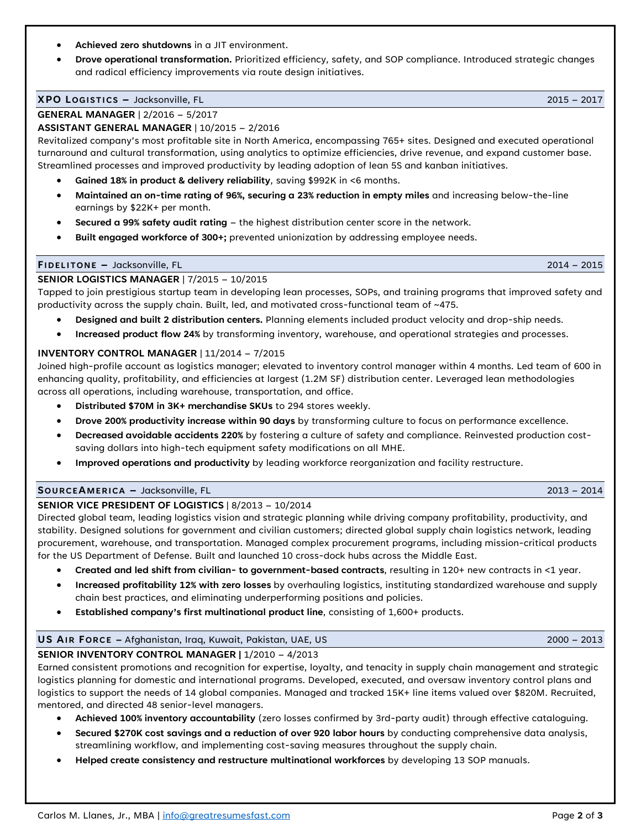- **Achieved zero shutdowns** in a JIT environment.
- **Drove operational transformation.** Prioritized efficiency, safety, and SOP compliance. Introduced strategic changes and radical efficiency improvements via route design initiatives.

#### **XPO LOGISTICS –** Jacksonville, FL 2015 – 2017

# **GENERAL MANAGER** | 2/2016 – 5/2017

# **ASSISTANT GENERAL MANAGER** | 10/2015 – 2/2016

Revitalized company's most profitable site in North America, encompassing 765+ sites. Designed and executed operational turnaround and cultural transformation, using analytics to optimize efficiencies, drive revenue, and expand customer base. Streamlined processes and improved productivity by leading adoption of lean 5S and kanban initiatives.

- **Gained 18% in product & delivery reliability**, saving \$992K in <6 months.
- **Maintained an on-time rating of 96%, securing a 23% reduction in empty miles** and increasing below-the-line earnings by \$22K+ per month.
- **Secured a 99% safety audit rating** the highest distribution center score in the network.
- **Built engaged workforce of 300+;** prevented unionization by addressing employee needs.

# **FIDELITONE –** Jacksonville, FL 2014 – 2015

# **SENIOR LOGISTICS MANAGER** | 7/2015 – 10/2015

Tapped to join prestigious startup team in developing lean processes, SOPs, and training programs that improved safety and productivity across the supply chain. Built, led, and motivated cross-functional team of ~475.

- **Designed and built 2 distribution centers.** Planning elements included product velocity and drop-ship needs.
- **Increased product flow 24%** by transforming inventory, warehouse, and operational strategies and processes.

# **INVENTORY CONTROL MANAGER** | 11/2014 – 7/2015

Joined high-profile account as logistics manager; elevated to inventory control manager within 4 months. Led team of 600 in enhancing quality, profitability, and efficiencies at largest (1.2M SF) distribution center. Leveraged lean methodologies across all operations, including warehouse, transportation, and office.

- **Distributed \$70M in 3K+ merchandise SKUs** to 294 stores weekly.
- **Drove 200% productivity increase within 90 days** by transforming culture to focus on performance excellence.
- **Decreased avoidable accidents 220%** by fostering a culture of safety and compliance. Reinvested production costsaving dollars into high-tech equipment safety modifications on all MHE.
- **Improved operations and productivity** by leading workforce reorganization and facility restructure.

# **SOURCEAMERICA –** Jacksonville, FL 2013 – 2014

# **SENIOR VICE PRESIDENT OF LOGISTICS** | 8/2013 – 10/2014

Directed global team, leading logistics vision and strategic planning while driving company profitability, productivity, and stability. Designed solutions for government and civilian customers; directed global supply chain logistics network, leading procurement, warehouse, and transportation. Managed complex procurement programs, including mission-critical products for the US Department of Defense. Built and launched 10 cross-dock hubs across the Middle East.

- **Created and led shift from civilian- to government-based contracts**, resulting in 120+ new contracts in <1 year.
- **Increased profitability 12% with zero losses** by overhauling logistics, instituting standardized warehouse and supply chain best practices, and eliminating underperforming positions and policies.
- **Established company's first multinational product line**, consisting of 1,600+ products.

# **US AIR FORCE –** Afghanistan, Iraq, Kuwait, Pakistan, UAE, US 2000 – 2013 **SENIOR INVENTORY CONTROL MANAGER |** 1/2010 – 4/2013

Earned consistent promotions and recognition for expertise, loyalty, and tenacity in supply chain management and strategic logistics planning for domestic and international programs. Developed, executed, and oversaw inventory control plans and logistics to support the needs of 14 global companies. Managed and tracked 15K+ line items valued over \$820M. Recruited, mentored, and directed 48 senior-level managers.

- **Achieved 100% inventory accountability** (zero losses confirmed by 3rd-party audit) through effective cataloguing.
- **Secured \$270K cost savings and a reduction of over 920 labor hours** by conducting comprehensive data analysis, streamlining workflow, and implementing cost-saving measures throughout the supply chain.
- **Helped create consistency and restructure multinational workforces** by developing 13 SOP manuals.